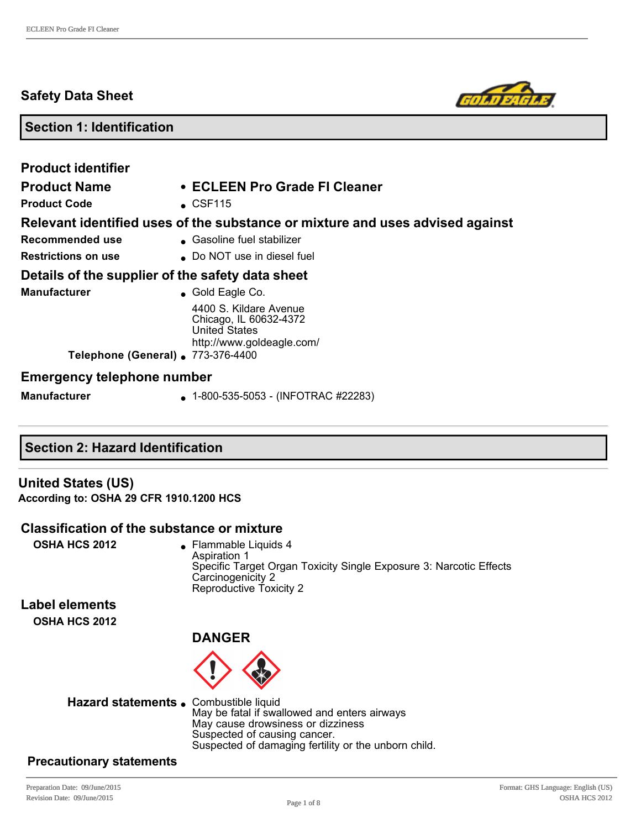# **Safety Data Sheet**



# **Section 1: Identification**

| <b>Product identifier</b><br><b>Product Name</b><br><b>Product Code</b>                                       | • ECLEEN Pro Grade FI Cleaner<br>$\textdegree$ CSF115                                                                                      |
|---------------------------------------------------------------------------------------------------------------|--------------------------------------------------------------------------------------------------------------------------------------------|
| Recommended use<br><b>Restrictions on use</b>                                                                 | Relevant identified uses of the substance or mixture and uses advised against<br>■ Gasoline fuel stabilizer<br>● Do NOT use in diesel fuel |
| Details of the supplier of the safety data sheet<br><b>Manufacturer</b><br>Telephone (General) . 773-376-4400 | $\bullet$ Gold Eagle Co.<br>4400 S. Kildare Avenue<br>Chicago, IL 60632-4372<br><b>United States</b><br>http://www.goldeagle.com/          |
| <b>Emergency telephone number</b>                                                                             |                                                                                                                                            |
| <b>Manufacturer</b>                                                                                           | $\bullet$ 1-800-535-5053 - (INFOTRAC #22283)                                                                                               |

# **Section 2: Hazard Identification**

# **United States (US) According to: OSHA 29 CFR 1910.1200 HCS**

# **Classification of the substance or mixture**

**OSHA HCS 2012 e** Flammable Liquids 4 Aspiration 1 Specific Target Organ Toxicity Single Exposure 3: Narcotic Effects Carcinogenicity 2 Reproductive Toxicity 2

**Label elements OSHA HCS 2012**

# **DANGER**



Hazard statements . Combustible liquid May be fatal if swallowed and enters airways May cause drowsiness or dizziness Suspected of causing cancer. Suspected of damaging fertility or the unborn child.

# **Precautionary statements**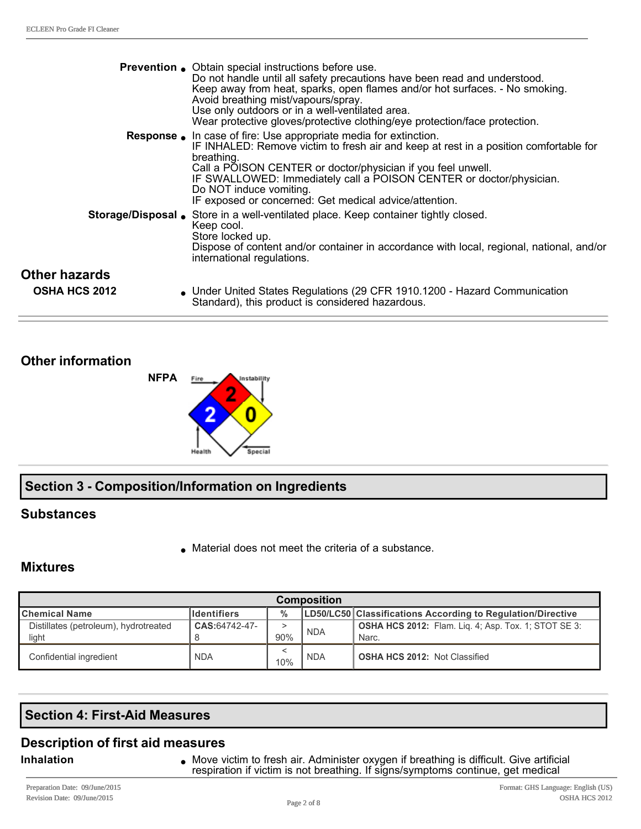|                                              | <b>Prevention</b> • Obtain special instructions before use.<br>Do not handle until all safety precautions have been read and understood.<br>Keep away from heat, sparks, open flames and/or hot surfaces. - No smoking.<br>Avoid breathing mist/vapours/spray.<br>Use only outdoors or in a well-ventilated area.<br>Wear protective gloves/protective clothing/eye protection/face protection.             |
|----------------------------------------------|-------------------------------------------------------------------------------------------------------------------------------------------------------------------------------------------------------------------------------------------------------------------------------------------------------------------------------------------------------------------------------------------------------------|
|                                              | <b>Response</b> . In case of fire: Use appropriate media for extinction.<br>IF INHALED: Remove victim to fresh air and keep at rest in a position comfortable for<br>breathing.<br>Call a POISON CENTER or doctor/physician if you feel unwell.<br>IF SWALLOWED: Immediately call a POISON CENTER or doctor/physician.<br>Do NOT induce vomiting.<br>IF exposed or concerned: Get medical advice/attention. |
|                                              | Storage/Disposal Store in a well-ventilated place. Keep container tightly closed.<br>Keep cool.<br>Store locked up.<br>Dispose of content and/or container in accordance with local, regional, national, and/or<br>international regulations.                                                                                                                                                               |
| <b>Other hazards</b><br><b>OSHA HCS 2012</b> | • Under United States Regulations (29 CFR 1910.1200 - Hazard Communication<br>Standard), this product is considered hazardous.                                                                                                                                                                                                                                                                              |

# **Other information**



# **Section 3 Composition/Information on Ingredients**

# **Substances**

 $\bullet$  Material does not meet the criteria of a substance.

# **Mixtures**

| <b>Composition</b>                    |                    |               |            |                                                             |
|---------------------------------------|--------------------|---------------|------------|-------------------------------------------------------------|
| <b>Chemical Name</b>                  | <b>Identifiers</b> | $\frac{0}{0}$ |            | LD50/LC50 Classifications According to Regulation/Directive |
| Distillates (petroleum), hydrotreated | CAS:64742-47-      |               | <b>NDA</b> | <b>OSHA HCS 2012:</b> Flam. Lig. 4; Asp. Tox. 1; STOT SE 3: |
| light                                 |                    | 90%           |            | Narc.                                                       |
| Confidential ingredient               | <b>NDA</b>         | 10%           | <b>NDA</b> | <b>OSHA HCS 2012: Not Classified</b>                        |

# **Section 4: First-Aid Measures**

# **Description of first aid measures**

**Inhalation Inhalation 1998** Move victim to fresh air. Administer oxygen if breathing is difficult. Give artificial respiration if victim is not breathing. If signs/symptoms continue, get medical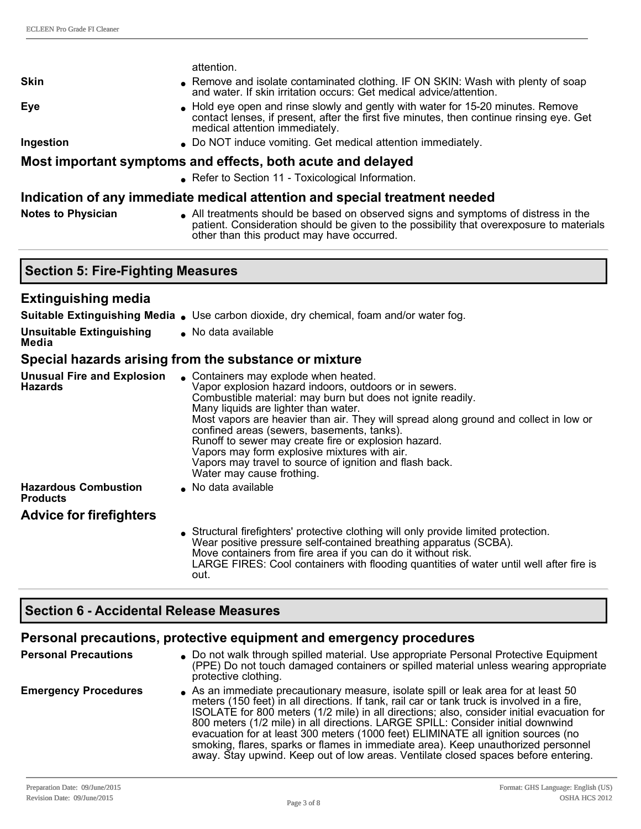|                                                     | attention.                                                                                                                                                                                                                                                                                                                                                                                                                                                                                                                                    |
|-----------------------------------------------------|-----------------------------------------------------------------------------------------------------------------------------------------------------------------------------------------------------------------------------------------------------------------------------------------------------------------------------------------------------------------------------------------------------------------------------------------------------------------------------------------------------------------------------------------------|
| <b>Skin</b>                                         | Remove and isolate contaminated clothing. IF ON SKIN: Wash with plenty of soap<br>and water. If skin irritation occurs: Get medical advice/attention.                                                                                                                                                                                                                                                                                                                                                                                         |
| <b>Eye</b>                                          | • Hold eye open and rinse slowly and gently with water for 15-20 minutes. Remove<br>contact lenses, if present, after the first five minutes, then continue rinsing eye. Get<br>medical attention immediately.                                                                                                                                                                                                                                                                                                                                |
| Ingestion                                           | • Do NOT induce vomiting. Get medical attention immediately.                                                                                                                                                                                                                                                                                                                                                                                                                                                                                  |
|                                                     | Most important symptoms and effects, both acute and delayed                                                                                                                                                                                                                                                                                                                                                                                                                                                                                   |
|                                                     | • Refer to Section 11 - Toxicological Information.                                                                                                                                                                                                                                                                                                                                                                                                                                                                                            |
|                                                     | Indication of any immediate medical attention and special treatment needed                                                                                                                                                                                                                                                                                                                                                                                                                                                                    |
| <b>Notes to Physician</b>                           | • All treatments should be based on observed signs and symptoms of distress in the<br>patient. Consideration should be given to the possibility that overexposure to materials<br>other than this product may have occurred.                                                                                                                                                                                                                                                                                                                  |
| <b>Section 5: Fire-Fighting Measures</b>            |                                                                                                                                                                                                                                                                                                                                                                                                                                                                                                                                               |
| <b>Extinguishing media</b>                          |                                                                                                                                                                                                                                                                                                                                                                                                                                                                                                                                               |
|                                                     | Suitable Extinguishing Media . Use carbon dioxide, dry chemical, foam and/or water fog.                                                                                                                                                                                                                                                                                                                                                                                                                                                       |
| <b>Unsuitable Extinguishing</b><br>Media            | • No data available                                                                                                                                                                                                                                                                                                                                                                                                                                                                                                                           |
|                                                     | Special hazards arising from the substance or mixture                                                                                                                                                                                                                                                                                                                                                                                                                                                                                         |
| <b>Unusual Fire and Explosion</b><br><b>Hazards</b> | • Containers may explode when heated.<br>Vapor explosion hazard indoors, outdoors or in sewers.<br>Combustible material: may burn but does not ignite readily.<br>Many liquids are lighter than water.<br>Most vapors are heavier than air. They will spread along ground and collect in low or<br>confined areas (sewers, basements, tanks).<br>Runoff to sewer may create fire or explosion hazard.<br>Vapors may form explosive mixtures with air.<br>Vapors may travel to source of ignition and flash back.<br>Water may cause frothing. |
| <b>Hazardous Combustion</b><br><b>Products</b>      | No data available                                                                                                                                                                                                                                                                                                                                                                                                                                                                                                                             |
| <b>Advice for firefighters</b>                      |                                                                                                                                                                                                                                                                                                                                                                                                                                                                                                                                               |
|                                                     | Structural firefighters' protective clothing will only provide limited protection.<br>Wear positive pressure self-contained breathing apparatus (SCBA).<br>Move containers from fire area if you can do it without risk.<br>LARGE FIRES: Cool containers with flooding quantities of water until well after fire is                                                                                                                                                                                                                           |

# **Section 6 Accidental Release Measures**

out.

# **Personal precautions, protective equipment and emergency procedures**

| <b>Personal Precautions</b> | • Do not walk through spilled material. Use appropriate Personal Protective Equipment<br>(PPE) Do not touch damaged containers or spilled material unless wearing appropriate<br>protective clothing.                                                                                                                                                                                                                                                                                                                                                                                                                             |
|-----------------------------|-----------------------------------------------------------------------------------------------------------------------------------------------------------------------------------------------------------------------------------------------------------------------------------------------------------------------------------------------------------------------------------------------------------------------------------------------------------------------------------------------------------------------------------------------------------------------------------------------------------------------------------|
| <b>Emergency Procedures</b> | As an immediate precautionary measure, isolate spill or leak area for at least 50<br>meters (150 feet) in all directions. If tank, rail car or tank truck is involved in a fire,<br>ISOLATE for 800 meters (1/2 mile) in all directions; also, consider initial evacuation for<br>800 meters (1/2 mile) in all directions. LARGE SPILL: Consider initial downwind<br>evacuation for at least 300 meters (1000 feet) ELIMINATE all ignition sources (no<br>smoking, flares, sparks or flames in immediate area). Keep unauthorized personnel<br>away. Stay upwind. Keep out of low areas. Ventilate closed spaces before entering. |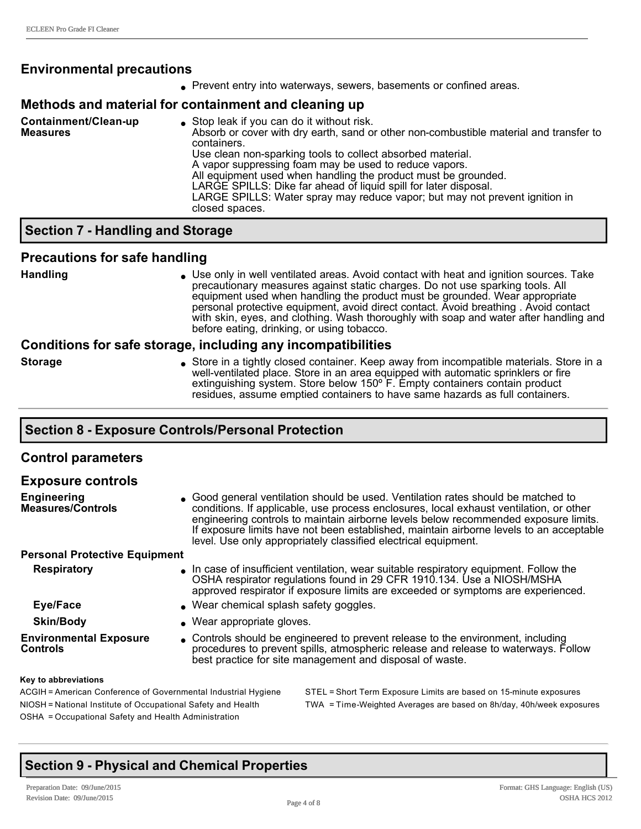# **Environmental precautions**

• Prevent entry into waterways, sewers, basements or confined areas.

#### **Methods and material for containment and cleaning up**

| Containment/Clean-up<br><b>Measures</b> | • Stop leak if you can do it without risk.<br>Absorb or cover with dry earth, sand or other non-combustible material and transfer to<br>containers.<br>Use clean non-sparking tools to collect absorbed material.<br>A vapor suppressing foam may be used to reduce vapors.<br>All equipment used when handling the product must be grounded.<br>LARGE SPILLS: Dike far ahead of liquid spill for later disposal.<br>LARGE SPILLS: Water spray may reduce vapor; but may not prevent ignition in<br>closed spaces. |
|-----------------------------------------|--------------------------------------------------------------------------------------------------------------------------------------------------------------------------------------------------------------------------------------------------------------------------------------------------------------------------------------------------------------------------------------------------------------------------------------------------------------------------------------------------------------------|
|-----------------------------------------|--------------------------------------------------------------------------------------------------------------------------------------------------------------------------------------------------------------------------------------------------------------------------------------------------------------------------------------------------------------------------------------------------------------------------------------------------------------------------------------------------------------------|

# **Section 7 Handling and Storage**

#### **Precautions for safe handling**

Handling **langle in Use only in well ventilated areas.** Avoid contact with heat and ignition sources. Take precautionary measures against static charges. Do not use sparking tools. All equipment used when handling the product must be grounded. Wear appropriate personal protective equipment, avoid direct contact. Avoid breathing . Avoid contact with skin, eyes, and clothing. Wash thoroughly with soap and water after handling and before eating, drinking, or using tobacco.

#### **Conditions for safe storage, including any incompatibilities**

**Storage lack of Store in a tightly closed container. Keep away from incompatible materials. Store in a** well-ventilated place. Store in an area equipped with automatic sprinklers or fire extinguishing system. Store below 150º F. Empty containers contain product residues, assume emptied containers to have same hazards as full containers.

# **Section 8 Exposure Controls/Personal Protection**

| <b>Control parameters</b>                        |                                                                                                                                                                                                                                                                                                                                                                                                                                 |
|--------------------------------------------------|---------------------------------------------------------------------------------------------------------------------------------------------------------------------------------------------------------------------------------------------------------------------------------------------------------------------------------------------------------------------------------------------------------------------------------|
| <b>Exposure controls</b>                         |                                                                                                                                                                                                                                                                                                                                                                                                                                 |
| <b>Engineering</b><br><b>Measures/Controls</b>   | • Good general ventilation should be used. Ventilation rates should be matched to<br>conditions. If applicable, use process enclosures, local exhaust ventilation, or other<br>engineering controls to maintain airborne levels below recommended exposure limits.<br>If exposure limits have not been established, maintain airborne levels to an acceptable<br>level. Use only appropriately classified electrical equipment. |
| <b>Personal Protective Equipment</b>             |                                                                                                                                                                                                                                                                                                                                                                                                                                 |
| <b>Respiratory</b>                               | In case of insufficient ventilation, wear suitable respiratory equipment. Follow the<br>OSHA respirator regulations found in 29 CFR 1910.134. Use a NIOSH/MSHA<br>approved respirator if exposure limits are exceeded or symptoms are experienced.                                                                                                                                                                              |
| Eye/Face                                         | . Wear chemical splash safety goggles.                                                                                                                                                                                                                                                                                                                                                                                          |
| <b>Skin/Body</b>                                 | • Wear appropriate gloves.                                                                                                                                                                                                                                                                                                                                                                                                      |
| <b>Environmental Exposure</b><br><b>Controls</b> | • Controls should be engineered to prevent release to the environment, including<br>procedures to prevent spills, atmospheric release and release to waterways. Follow<br>best practice for site management and disposal of waste.                                                                                                                                                                                              |
| Key to abbreviations                             |                                                                                                                                                                                                                                                                                                                                                                                                                                 |
|                                                  |                                                                                                                                                                                                                                                                                                                                                                                                                                 |

# OSHA = Occupational Safety and Health Administration

ACGIH = American Conference of Governmental Industrial Hygiene STEL = Short Term Exposure Limits are based on 15-minute exposures NIOSH = National Institute of Occupational Safety and Health TWA = Time-Weighted Averages are based on 8h/day, 40h/week exposures

# **Section 9 Physical and Chemical Properties**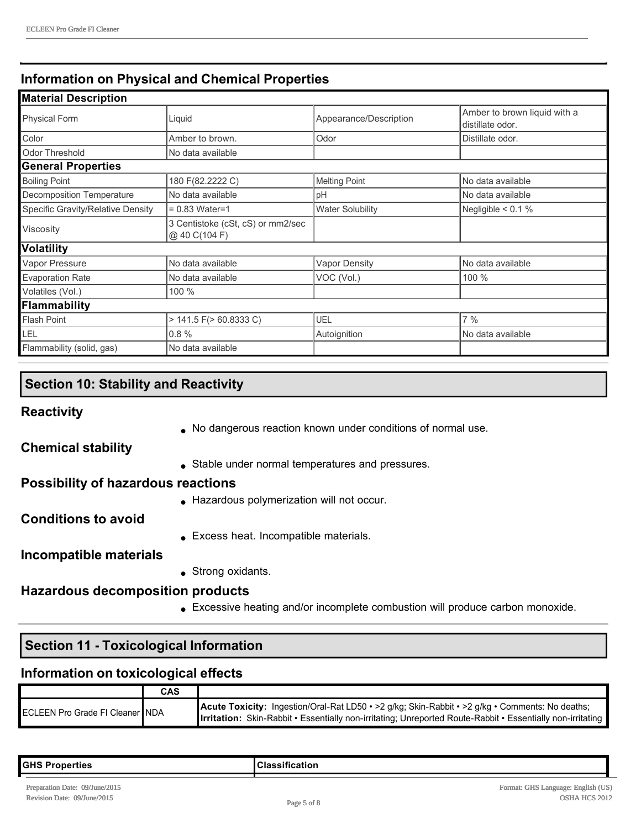# **Information on Physical and Chemical Properties**

| <b>Material Description</b>       |                                                    |                         |                                                  |
|-----------------------------------|----------------------------------------------------|-------------------------|--------------------------------------------------|
| <b>Physical Form</b>              | Liquid                                             | Appearance/Description  | Amber to brown liquid with a<br>distillate odor. |
| Color                             | Amber to brown.                                    | Odor                    | Distillate odor.                                 |
| Odor Threshold                    | No data available                                  |                         |                                                  |
| <b>General Properties</b>         |                                                    |                         |                                                  |
| <b>Boiling Point</b>              | 180 F(82.2222 C)                                   | <b>Melting Point</b>    | No data available                                |
| Decomposition Temperature         | No data available                                  | pH                      | No data available                                |
| Specific Gravity/Relative Density | $= 0.83$ Water=1                                   | <b>Water Solubility</b> | Negligible $< 0.1 \%$                            |
| Viscosity                         | 3 Centistoke (cSt, cS) or mm2/sec<br>@ 40 C(104 F) |                         |                                                  |
| <b>Volatility</b>                 |                                                    |                         |                                                  |
| Vapor Pressure                    | No data available                                  | <b>Vapor Density</b>    | No data available                                |
| <b>Evaporation Rate</b>           | No data available                                  | VOC (Vol.)              | 100 %                                            |
| Volatiles (Vol.)                  | 100 %                                              |                         |                                                  |
| Flammability                      |                                                    |                         |                                                  |
| <b>Flash Point</b>                | $> 141.5$ F( $> 60.8333$ C)                        | UEL                     | 7%                                               |
| <b>LEL</b>                        | 0.8%                                               | Autoignition            | No data available                                |
| Flammability (solid, gas)         | No data available                                  |                         |                                                  |

# **Section 10: Stability and Reactivity**

**Reactivity**

• No dangerous reaction known under conditions of normal use.

**Chemical stability**

• Stable under normal temperatures and pressures.

# **Possibility of hazardous reactions**

**.** Hazardous polymerization will not occur.

**Conditions to avoid**

**Excess heat. Incompatible materials.** 

**Incompatible materials**

• Strong oxidants.

# **Hazardous decomposition products**

• Excessive heating and/or incomplete combustion will produce carbon monoxide.

# **Section 11 Toxicological Information**

# **Information on toxicological effects**

|                                 | CAS |                                                                                                                                                                                                                               |
|---------------------------------|-----|-------------------------------------------------------------------------------------------------------------------------------------------------------------------------------------------------------------------------------|
| ECLEEN Pro Grade FI Cleaner NDA |     | <b>Acute Toxicity:</b> Ingestion/Oral-Rat LD50 • > 2 g/kg; Skin-Rabbit • > 2 g/kg • Comments: No deaths;<br><b>Irritation:</b> Skin-Rabbit • Essentially non-irritating; Unreported Route-Rabbit • Essentially non-irritating |

| ∥GHS P<br>erties<br>$\cdots$<br>$ -$ | . .<br>. |
|--------------------------------------|----------|
|                                      |          |
|                                      |          |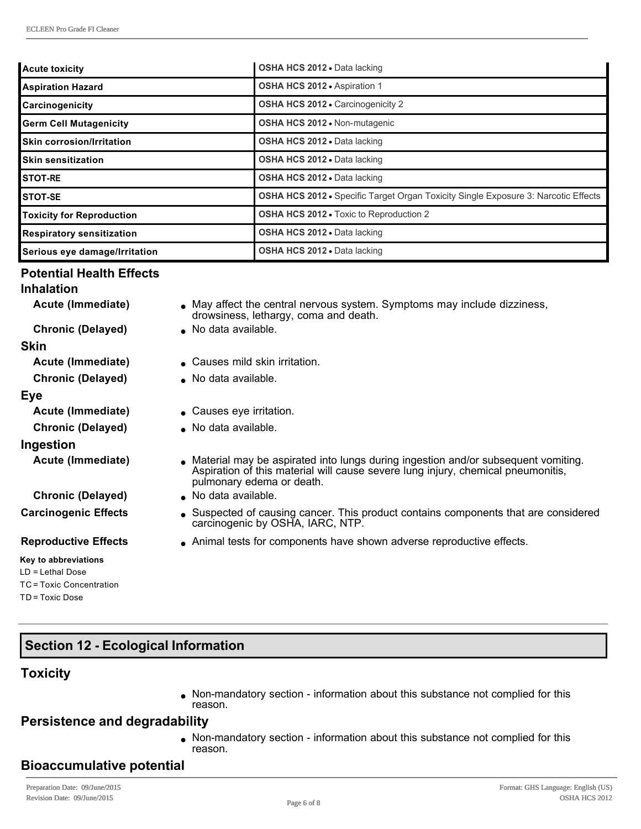| Acute toxicity                     | OSHA HCS 2012 . Data lacking                                                       |
|------------------------------------|------------------------------------------------------------------------------------|
| Aspiration Hazard                  | OSHA HCS 2012 · Aspiration 1                                                       |
| <b>Carcinogenicity</b>             | <b>OSHA HCS 2012 - Carcinogenicity 2</b>                                           |
| <b>Germ Cell Mutagenicity</b>      | <b>OSHA HCS 2012 • Non-mutagenic</b>                                               |
| <b>I</b> Skin corrosion/Irritation | <b>OSHA HCS 2012 • Data lacking</b>                                                |
| <b>I</b> Skin sensitization        | <b>OSHA HCS 2012 - Data lacking</b>                                                |
| <b>ISTOT-RE</b>                    | OSHA HCS 2012 . Data lacking                                                       |
| <b>I</b> STOT-SE                   | OSHA HCS 2012 • Specific Target Organ Toxicity Single Exposure 3: Narcotic Effects |
| Toxicity for Reproduction          | <b>OSHA HCS 2012 - Toxic to Reproduction 2</b>                                     |
| <b>Respiratory sensitization</b>   | <b>OSHA HCS 2012 • Data lacking</b>                                                |
| Serious eye damage/Irritation      | <b>OSHA HCS 2012 - Data lacking</b>                                                |

#### **Potential Health Effects**

# **Inhalation**

| Acute (Immediate)           | • May affect the central nervous system. Symptoms may include dizziness,<br>drowsiness, lethargy, coma and death.                                                                                    |
|-----------------------------|------------------------------------------------------------------------------------------------------------------------------------------------------------------------------------------------------|
| <b>Chronic (Delayed)</b>    | • No data available.                                                                                                                                                                                 |
| <b>Skin</b>                 |                                                                                                                                                                                                      |
| Acute (Immediate)           | ■ Causes mild skin irritation.                                                                                                                                                                       |
| <b>Chronic (Delayed)</b>    | • No data available.                                                                                                                                                                                 |
| Eye                         |                                                                                                                                                                                                      |
| Acute (Immediate)           | • Causes eye irritation.                                                                                                                                                                             |
| <b>Chronic (Delayed)</b>    | • No data available.                                                                                                                                                                                 |
| Ingestion                   |                                                                                                                                                                                                      |
| Acute (Immediate)           | • Material may be aspirated into lungs during ingestion and/or subsequent vomiting.<br>Aspiration of this material will cause severe lung injury, chemical pneumonitis,<br>pulmonary edema or death. |
| <b>Chronic (Delayed)</b>    | No data available.                                                                                                                                                                                   |
| <b>Carcinogenic Effects</b> | • Suspected of causing cancer. This product contains components that are considered<br>carcinogenic by OSHA, IARC, NTP.                                                                              |
| <b>Reproductive Effects</b> | Animal tests for components have shown adverse reproductive effects.                                                                                                                                 |
| Key to abbreviations        |                                                                                                                                                                                                      |
| $LD = Lethal Does$          |                                                                                                                                                                                                      |
| TC = Toxic Concentration    |                                                                                                                                                                                                      |

**Section 12 - Ecological Information** 

# **Toxicity**

TD = Toxic Dose

• Non-mandatory section - information about this substance not complied for this reason.

# **Persistence and degradability**

• Non-mandatory section - information about this substance not complied for this reason.

# **Bioaccumulative potential**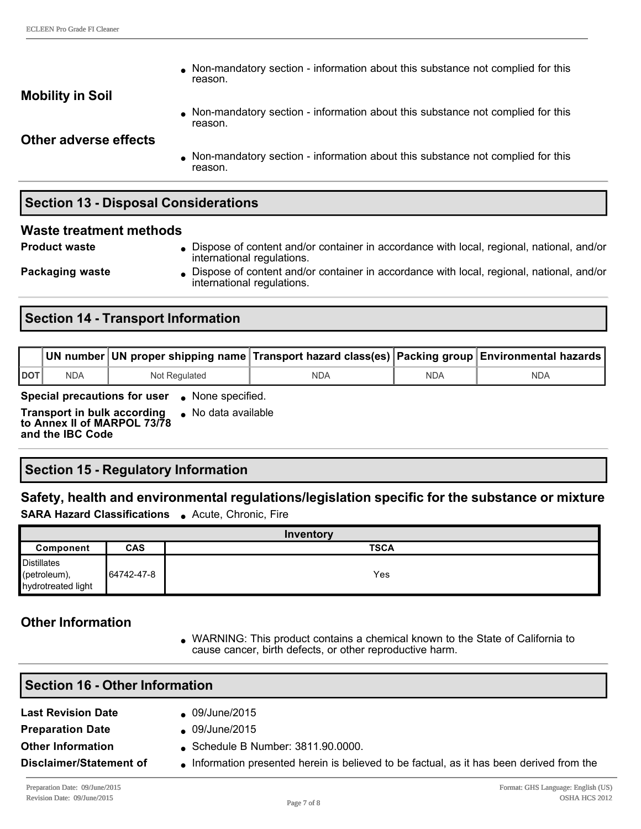$\bullet$  Non-mandatory section - information about this substance not complied for this reason.

#### **Mobility in Soil**

• Non-mandatory section - information about this substance not complied for this reason.

**Other adverse effects**

 $\bullet$  Non-mandatory section - information about this substance not complied for this reason.

# **Section 13 - Disposal Considerations**

#### **Waste treatment methods**

**Product waste label in Dispose of content and/or container in accordance with local, regional, national, and/or** international regulations.

**Packaging waste lightling in Dispose of content and/or container in accordance with local, regional, national, and/or** international regulations.

# **Section 14 - Transport Information**

|            |     |               | Nun number ∣UN proper shipping name ∏ransport hazard class(es) Packing group ∣Environmental hazards ∣I |     |            |
|------------|-----|---------------|--------------------------------------------------------------------------------------------------------|-----|------------|
| <b>DOT</b> | NDA | Not Regulated | NDA                                                                                                    | NDA | <b>NDA</b> |

**Special precautions for user** . None specified.

**Transport in bulk according to Annex II of MARPOL 73/78 and the IBC Code**  $\bullet$  No data available

# **Section 15 Regulatory Information**

# **Safety, health and environmental regulations/legislation specific for the substance or mixture**

**SARA Hazard Classifications** . Acute, Chronic, Fire

| Inventory                                                |            |             |  |  |  |  |
|----------------------------------------------------------|------------|-------------|--|--|--|--|
| Component                                                | <b>CAS</b> | <b>TSCA</b> |  |  |  |  |
| <b>Distillates</b><br>(petroleum),<br>hydrotreated light | 64742-47-8 | Yes         |  |  |  |  |

# **Other Information**

<sup>l</sup> WARNING: This product contains a chemical known to the State of California to cause cancer, birth defects, or other reproductive harm.

| <b>Section 16 - Other Information</b> |                                                                                           |  |  |  |
|---------------------------------------|-------------------------------------------------------------------------------------------|--|--|--|
| <b>Last Revision Date</b>             | 09/June/2015                                                                              |  |  |  |
| <b>Preparation Date</b>               | 09/June/2015                                                                              |  |  |  |
| <b>Other Information</b>              | Schedule B Number: 3811.90.0000.                                                          |  |  |  |
| Disclaimer/Statement of               | • Information presented herein is believed to be factual, as it has been derived from the |  |  |  |